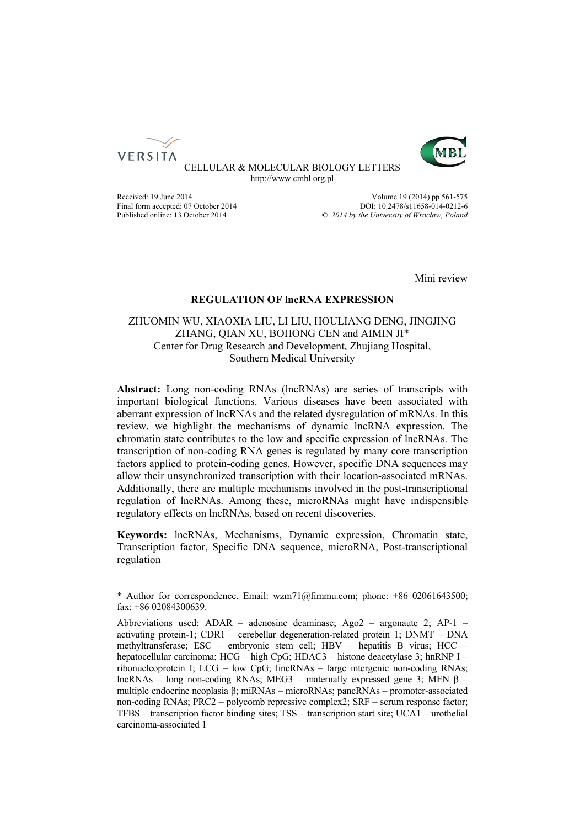



CELLULAR & MOLECULAR BIOLOGY LETTERS http://www.cmbl.org.pl

Final form accepted: 07 October 2014<br>Published online: 13 October 2014

Received: 19 June 2014<br>
Final form accepted: 07 October 2014<br>
PDI: 10.2478/s11658-014-0212-6 Published online: 13 October 2014 *© 2014 by the University of Wrocław, Poland*

Mini review

## **REGULATION OF lncRNA EXPRESSION**

## ZHUOMIN WU, XIAOXIA LIU, LI LIU, HOULIANG DENG, JINGJING ZHANG, QIAN XU, BOHONG CEN and AIMIN JI\* Center for Drug Research and Development, Zhujiang Hospital, Southern Medical University

**Abstract:** Long non-coding RNAs (lncRNAs) are series of transcripts with important biological functions. Various diseases have been associated with aberrant expression of lncRNAs and the related dysregulation of mRNAs. In this review, we highlight the mechanisms of dynamic lncRNA expression. The chromatin state contributes to the low and specific expression of lncRNAs. The transcription of non-coding RNA genes is regulated by many core transcription factors applied to protein-coding genes. However, specific DNA sequences may allow their unsynchronized transcription with their location-associated mRNAs. Additionally, there are multiple mechanisms involved in the post-transcriptional regulation of lncRNAs. Among these, microRNAs might have indispensible regulatory effects on lncRNAs, based on recent discoveries.

**Keywords:** lncRNAs, Mechanisms, Dynamic expression, Chromatin state, Transcription factor, Specific DNA sequence, microRNA, Post-transcriptional regulation

<sup>\*</sup> Author for correspondence. Email: wzm71@fimmu.com; phone: +86 02061643500; fax: +86 02084300639.

Abbreviations used: ADAR – adenosine deaminase; Ago2 – argonaute 2; AP-1 – activating protein-1; CDR1 – cerebellar degeneration-related protein 1; DNMT – DNA methyltransferase; ESC – embryonic stem cell; HBV – hepatitis B virus; HCC – hepatocellular carcinoma; HCG – high CpG; HDAC3 – histone deacetylase 3; hnRNP I – ribonucleoprotein I; LCG – low CpG; lincRNAs – large intergenic non-coding RNAs; lncRNAs – long non-coding RNAs; MEG3 – maternally expressed gene 3; MEN β – multiple endocrine neoplasia β; miRNAs – microRNAs; pancRNAs – promoter-associated non-coding RNAs; PRC2 – polycomb repressive complex2; SRF – serum response factor; TFBS – transcription factor binding sites; TSS – transcription start site; UCA1 – urothelial carcinoma-associated 1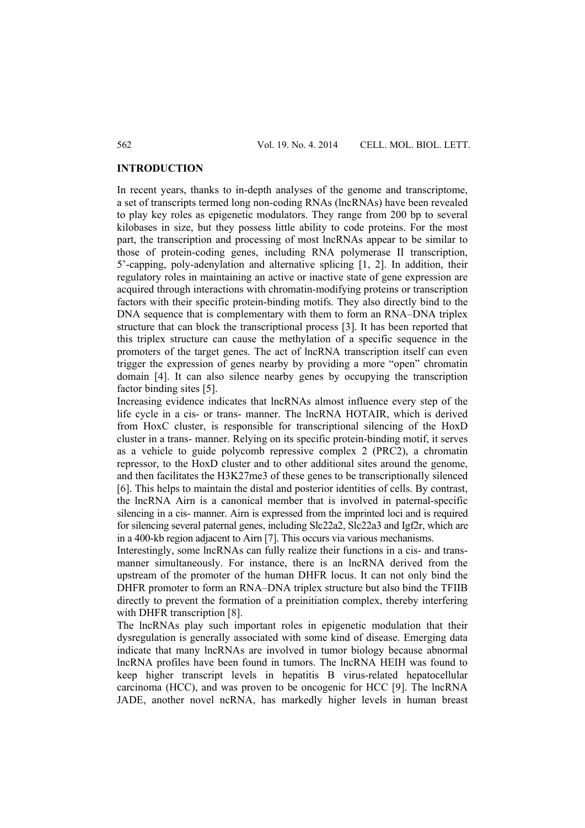### **INTRODUCTION**

In recent years, thanks to in-depth analyses of the genome and transcriptome, a set of transcripts termed long non-coding RNAs (lncRNAs) have been revealed to play key roles as epigenetic modulators. They range from 200 bp to several kilobases in size, but they possess little ability to code proteins. For the most part, the transcription and processing of most lncRNAs appear to be similar to those of protein-coding genes, including RNA polymerase II transcription, 5'-capping, poly-adenylation and alternative splicing [1, 2]. In addition, their regulatory roles in maintaining an active or inactive state of gene expression are acquired through interactions with chromatin-modifying proteins or transcription factors with their specific protein-binding motifs. They also directly bind to the DNA sequence that is complementary with them to form an RNA–DNA triplex structure that can block the transcriptional process [3]. It has been reported that this triplex structure can cause the methylation of a specific sequence in the promoters of the target genes. The act of lncRNA transcription itself can even trigger the expression of genes nearby by providing a more "open" chromatin domain [4]. It can also silence nearby genes by occupying the transcription factor binding sites [5].

Increasing evidence indicates that lncRNAs almost influence every step of the life cycle in a cis- or trans- manner. The lncRNA HOTAIR, which is derived from HoxC cluster, is responsible for transcriptional silencing of the HoxD cluster in a trans- manner. Relying on its specific protein-binding motif, it serves as a vehicle to guide polycomb repressive complex 2 (PRC2), a chromatin repressor, to the HoxD cluster and to other additional sites around the genome, and then facilitates the H3K27me3 of these genes to be transcriptionally silenced [6]. This helps to maintain the distal and posterior identities of cells. By contrast, the lncRNA Airn is a canonical member that is involved in paternal-specific silencing in a cis- manner. Airn is expressed from the imprinted loci and is required for silencing several paternal genes, including Slc22a2, Slc22a3 and Igf2r, which are in a 400-kb region adjacent to Airn [7]. This occurs via various mechanisms.

Interestingly, some lncRNAs can fully realize their functions in a cis- and transmanner simultaneously. For instance, there is an lncRNA derived from the upstream of the promoter of the human DHFR locus. It can not only bind the DHFR promoter to form an RNA–DNA triplex structure but also bind the TFIIB directly to prevent the formation of a preinitiation complex, thereby interfering with DHFR transcription [8].

The lncRNAs play such important roles in epigenetic modulation that their dysregulation is generally associated with some kind of disease. Emerging data indicate that many lncRNAs are involved in tumor biology because abnormal lncRNA profiles have been found in tumors. The lncRNA HEIH was found to keep higher transcript levels in hepatitis B virus-related hepatocellular carcinoma (HCC), and was proven to be oncogenic for HCC [9]. The lncRNA JADE, another novel ncRNA, has markedly higher levels in human breast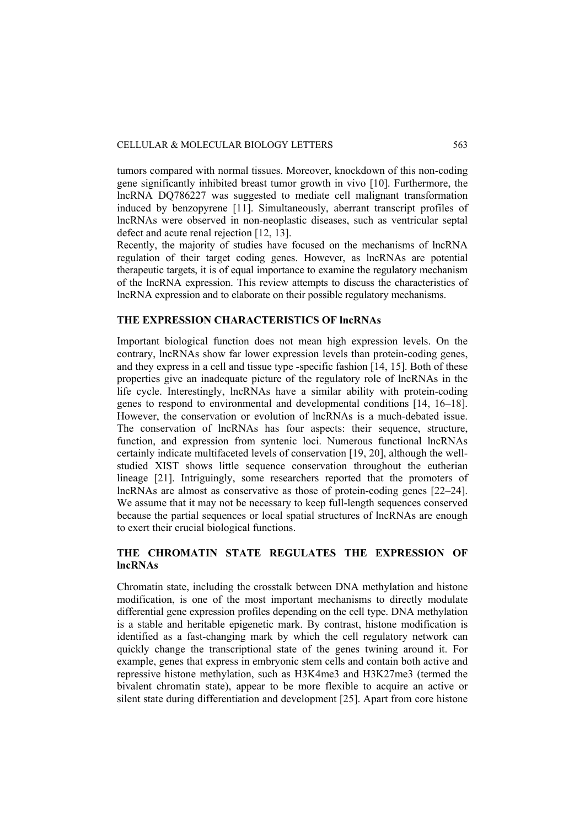tumors compared with normal tissues. Moreover, knockdown of this non-coding gene significantly inhibited breast tumor growth in vivo [10]. Furthermore, the lncRNA DQ786227 was suggested to mediate cell malignant transformation induced by benzopyrene [11]. Simultaneously, aberrant transcript profiles of lncRNAs were observed in non-neoplastic diseases, such as ventricular septal defect and acute renal rejection [12, 13].

Recently, the majority of studies have focused on the mechanisms of lncRNA regulation of their target coding genes. However, as lncRNAs are potential therapeutic targets, it is of equal importance to examine the regulatory mechanism of the lncRNA expression. This review attempts to discuss the characteristics of lncRNA expression and to elaborate on their possible regulatory mechanisms.

#### **THE EXPRESSION CHARACTERISTICS OF lncRNAs**

Important biological function does not mean high expression levels. On the contrary, lncRNAs show far lower expression levels than protein-coding genes, and they express in a cell and tissue type -specific fashion [14, 15]. Both of these properties give an inadequate picture of the regulatory role of lncRNAs in the life cycle. Interestingly, lncRNAs have a similar ability with protein-coding genes to respond to environmental and developmental conditions [14, 16–18]. However, the conservation or evolution of lncRNAs is a much-debated issue. The conservation of lncRNAs has four aspects: their sequence, structure, function, and expression from syntenic loci. Numerous functional lncRNAs certainly indicate multifaceted levels of conservation [19, 20], although the wellstudied XIST shows little sequence conservation throughout the eutherian lineage [21]. Intriguingly, some researchers reported that the promoters of lncRNAs are almost as conservative as those of protein-coding genes [22–24]. We assume that it may not be necessary to keep full-length sequences conserved because the partial sequences or local spatial structures of lncRNAs are enough to exert their crucial biological functions.

# **THE CHROMATIN STATE REGULATES THE EXPRESSION OF lncRNAs**

Chromatin state, including the crosstalk between DNA methylation and histone modification, is one of the most important mechanisms to directly modulate differential gene expression profiles depending on the cell type. DNA methylation is a stable and heritable epigenetic mark. By contrast, histone modification is identified as a fast-changing mark by which the cell regulatory network can quickly change the transcriptional state of the genes twining around it. For example, genes that express in embryonic stem cells and contain both active and repressive histone methylation, such as H3K4me3 and H3K27me3 (termed the bivalent chromatin state), appear to be more flexible to acquire an active or silent state during differentiation and development [25]. Apart from core histone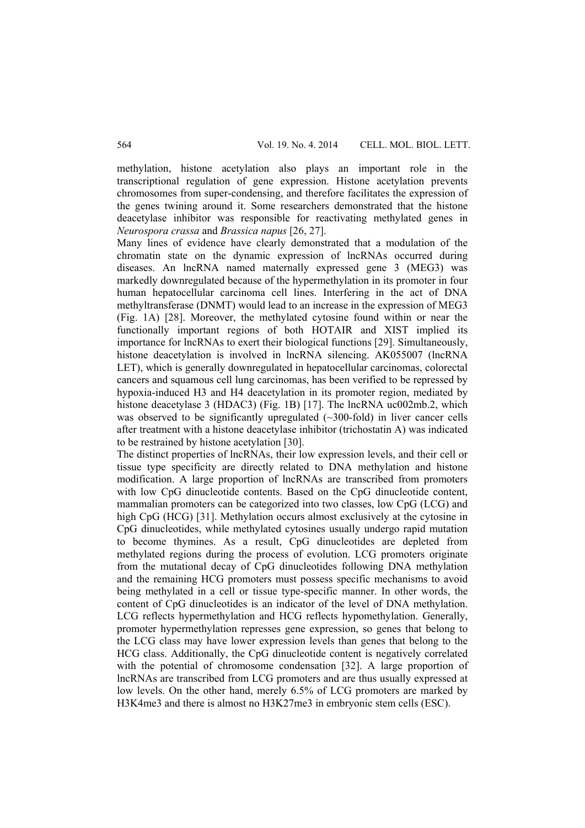methylation, histone acetylation also plays an important role in the transcriptional regulation of gene expression. Histone acetylation prevents chromosomes from super-condensing, and therefore facilitates the expression of the genes twining around it. Some researchers demonstrated that the histone deacetylase inhibitor was responsible for reactivating methylated genes in *Neurospora crassa* and *Brassica napus* [26, 27].

Many lines of evidence have clearly demonstrated that a modulation of the chromatin state on the dynamic expression of lncRNAs occurred during diseases. An lncRNA named maternally expressed gene 3 (MEG3) was markedly downregulated because of the hypermethylation in its promoter in four human hepatocellular carcinoma cell lines. Interfering in the act of DNA methyltransferase (DNMT) would lead to an increase in the expression of MEG3 (Fig. 1A) [28]. Moreover, the methylated cytosine found within or near the functionally important regions of both HOTAIR and XIST implied its importance for lncRNAs to exert their biological functions [29]. Simultaneously, histone deacetylation is involved in lncRNA silencing. AK055007 (lncRNA LET), which is generally downregulated in hepatocellular carcinomas, colorectal cancers and squamous cell lung carcinomas, has been verified to be repressed by hypoxia-induced H3 and H4 deacetylation in its promoter region, mediated by histone deacetylase 3 (HDAC3) (Fig. 1B) [17]. The lncRNA uc002mb.2, which was observed to be significantly upregulated  $(\sim]300$ -fold) in liver cancer cells after treatment with a histone deacetylase inhibitor (trichostatin A) was indicated to be restrained by histone acetylation [30].

The distinct properties of lncRNAs, their low expression levels, and their cell or tissue type specificity are directly related to DNA methylation and histone modification. A large proportion of lncRNAs are transcribed from promoters with low CpG dinucleotide contents. Based on the CpG dinucleotide content, mammalian promoters can be categorized into two classes, low CpG (LCG) and high CpG (HCG) [31]. Methylation occurs almost exclusively at the cytosine in CpG dinucleotides, while methylated cytosines usually undergo rapid mutation to become thymines. As a result, CpG dinucleotides are depleted from methylated regions during the process of evolution. LCG promoters originate from the mutational decay of CpG dinucleotides following DNA methylation and the remaining HCG promoters must possess specific mechanisms to avoid being methylated in a cell or tissue type-specific manner. In other words, the content of CpG dinucleotides is an indicator of the level of DNA methylation. LCG reflects hypermethylation and HCG reflects hypomethylation. Generally, promoter hypermethylation represses gene expression, so genes that belong to the LCG class may have lower expression levels than genes that belong to the HCG class. Additionally, the CpG dinucleotide content is negatively correlated with the potential of chromosome condensation [32]. A large proportion of lncRNAs are transcribed from LCG promoters and are thus usually expressed at low levels. On the other hand, merely 6.5% of LCG promoters are marked by H3K4me3 and there is almost no H3K27me3 in embryonic stem cells (ESC).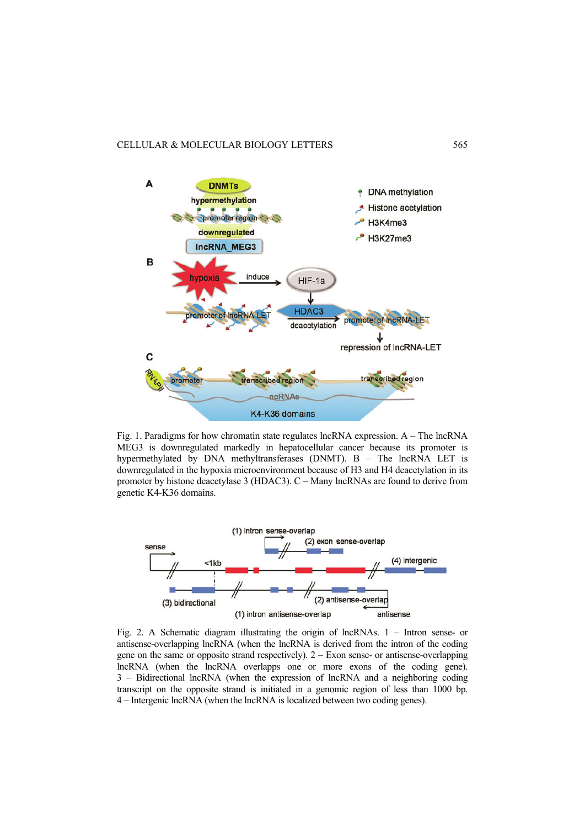

Fig. 1. Paradigms for how chromatin state regulates lncRNA expression. A – The lncRNA MEG3 is downregulated markedly in hepatocellular cancer because its promoter is hypermethylated by DNA methyltransferases (DNMT). B – The lncRNA LET is downregulated in the hypoxia microenvironment because of H3 and H4 deacetylation in its promoter by histone deacetylase 3 (HDAC3). C – Many lncRNAs are found to derive from genetic K4-K36 domains.



Fig. 2. A Schematic diagram illustrating the origin of lncRNAs. 1 – Intron sense- or antisense-overlapping lncRNA (when the lncRNA is derived from the intron of the coding gene on the same or opposite strand respectively). 2 – Exon sense- or antisense-overlapping lncRNA (when the lncRNA overlapps one or more exons of the coding gene). 3 – Bidirectional lncRNA (when the expression of lncRNA and a neighboring coding transcript on the opposite strand is initiated in a genomic region of less than 1000 bp. 4 – Intergenic lncRNA (when the lncRNA is localized between two coding genes).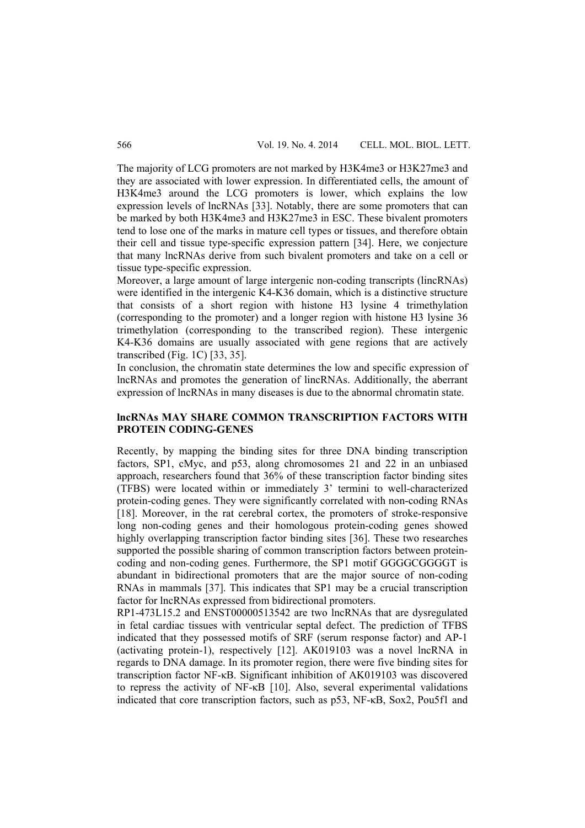The majority of LCG promoters are not marked by H3K4me3 or H3K27me3 and they are associated with lower expression. In differentiated cells, the amount of H3K4me3 around the LCG promoters is lower, which explains the low expression levels of lncRNAs [33]. Notably, there are some promoters that can be marked by both H3K4me3 and H3K27me3 in ESC. These bivalent promoters tend to lose one of the marks in mature cell types or tissues, and therefore obtain their cell and tissue type-specific expression pattern [34]. Here, we conjecture that many lncRNAs derive from such bivalent promoters and take on a cell or tissue type-specific expression.

Moreover, a large amount of large intergenic non-coding transcripts (lincRNAs) were identified in the intergenic K4-K36 domain, which is a distinctive structure that consists of a short region with histone H3 lysine 4 trimethylation (corresponding to the promoter) and a longer region with histone H3 lysine 36 trimethylation (corresponding to the transcribed region). These intergenic K4-K36 domains are usually associated with gene regions that are actively transcribed (Fig. 1C) [33, 35].

In conclusion, the chromatin state determines the low and specific expression of lncRNAs and promotes the generation of lincRNAs. Additionally, the aberrant expression of lncRNAs in many diseases is due to the abnormal chromatin state.

## **lncRNAs MAY SHARE COMMON TRANSCRIPTION FACTORS WITH PROTEIN CODING-GENES**

Recently, by mapping the binding sites for three DNA binding transcription factors, SP1, cMyc, and p53, along chromosomes 21 and 22 in an unbiased approach, researchers found that 36% of these transcription factor binding sites (TFBS) were located within or immediately 3' termini to well-characterized protein-coding genes. They were significantly correlated with non-coding RNAs [18]. Moreover, in the rat cerebral cortex, the promoters of stroke-responsive long non-coding genes and their homologous protein-coding genes showed highly overlapping transcription factor binding sites [36]. These two researches supported the possible sharing of common transcription factors between proteincoding and non-coding genes. Furthermore, the SP1 motif GGGGCGGGGT is abundant in bidirectional promoters that are the major source of non-coding RNAs in mammals [37]. This indicates that SP1 may be a crucial transcription factor for lncRNAs expressed from bidirectional promoters.

RP1-473L15.2 and ENST00000513542 are two lncRNAs that are dysregulated in fetal cardiac tissues with ventricular septal defect. The prediction of TFBS indicated that they possessed motifs of SRF (serum response factor) and AP-1 (activating protein-1), respectively [12]. AK019103 was a novel lncRNA in regards to DNA damage. In its promoter region, there were five binding sites for transcription factor NF-κB. Significant inhibition of AK019103 was discovered to repress the activity of NF-κB [10]. Also, several experimental validations indicated that core transcription factors, such as p53, NF-κB, Sox2, Pou5f1 and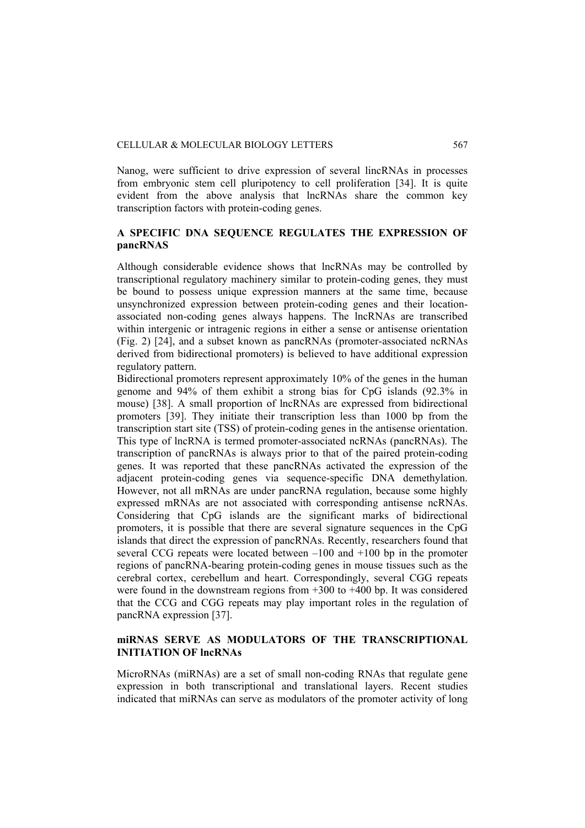Nanog, were sufficient to drive expression of several lincRNAs in processes from embryonic stem cell pluripotency to cell proliferation [34]. It is quite evident from the above analysis that lncRNAs share the common key transcription factors with protein-coding genes.

## **A SPECIFIC DNA SEQUENCE REGULATES THE EXPRESSION OF pancRNAS**

Although considerable evidence shows that lncRNAs may be controlled by transcriptional regulatory machinery similar to protein-coding genes, they must be bound to possess unique expression manners at the same time, because unsynchronized expression between protein-coding genes and their locationassociated non-coding genes always happens. The lncRNAs are transcribed within intergenic or intragenic regions in either a sense or antisense orientation (Fig. 2) [24], and a subset known as pancRNAs (promoter-associated ncRNAs derived from bidirectional promoters) is believed to have additional expression regulatory pattern.

Bidirectional promoters represent approximately 10% of the genes in the human genome and 94% of them exhibit a strong bias for CpG islands (92.3% in mouse) [38]. A small proportion of lncRNAs are expressed from bidirectional promoters [39]. They initiate their transcription less than 1000 bp from the transcription start site (TSS) of protein-coding genes in the antisense orientation. This type of lncRNA is termed promoter-associated ncRNAs (pancRNAs). The transcription of pancRNAs is always prior to that of the paired protein-coding genes. It was reported that these pancRNAs activated the expression of the adjacent protein-coding genes via sequence-specific DNA demethylation. However, not all mRNAs are under pancRNA regulation, because some highly expressed mRNAs are not associated with corresponding antisense ncRNAs. Considering that CpG islands are the significant marks of bidirectional promoters, it is possible that there are several signature sequences in the CpG islands that direct the expression of pancRNAs. Recently, researchers found that several CCG repeats were located between  $-100$  and  $+100$  bp in the promoter regions of pancRNA-bearing protein-coding genes in mouse tissues such as the cerebral cortex, cerebellum and heart. Correspondingly, several CGG repeats were found in the downstream regions from  $+300$  to  $+400$  bp. It was considered that the CCG and CGG repeats may play important roles in the regulation of pancRNA expression [37].

# **miRNAS SERVE AS MODULATORS OF THE TRANSCRIPTIONAL INITIATION OF lncRNAs**

MicroRNAs (miRNAs) are a set of small non-coding RNAs that regulate gene expression in both transcriptional and translational layers. Recent studies indicated that miRNAs can serve as modulators of the promoter activity of long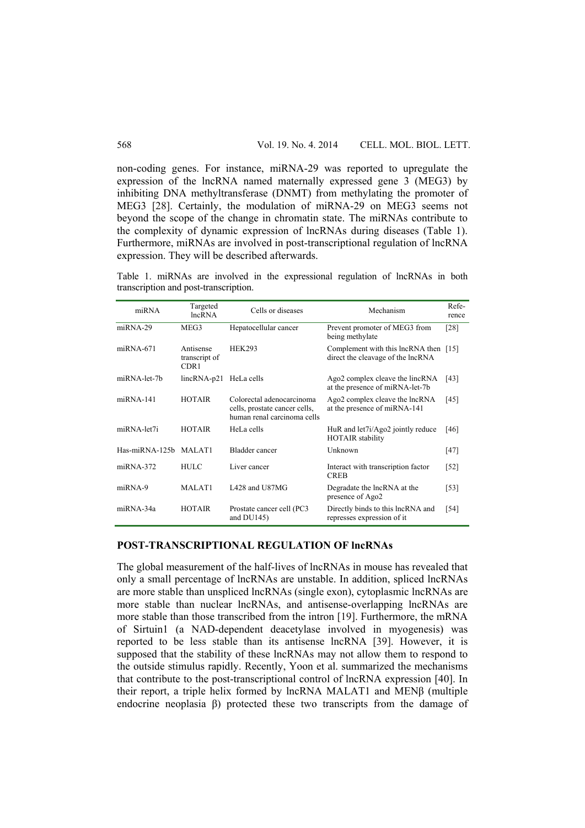non-coding genes. For instance, miRNA-29 was reported to upregulate the expression of the lncRNA named maternally expressed gene 3 (MEG3) by inhibiting DNA methyltransferase (DNMT) from methylating the promoter of MEG3 [28]. Certainly, the modulation of miRNA-29 on MEG3 seems not beyond the scope of the change in chromatin state. The miRNAs contribute to the complexity of dynamic expression of lncRNAs during diseases (Table 1). Furthermore, miRNAs are involved in post-transcriptional regulation of lncRNA expression. They will be described afterwards.

Table 1. miRNAs are involved in the expressional regulation of lncRNAs in both transcription and post-transcription.

| $m$ <sub>RNA</sub>     | Targeted<br>lncRNA                             | Cells or diseases                                                                         | Mechanism                                                                  | Refe-<br>rence |
|------------------------|------------------------------------------------|-------------------------------------------------------------------------------------------|----------------------------------------------------------------------------|----------------|
| $m$ <sub>RNA</sub> -29 | MEG3                                           | Hepatocellular cancer                                                                     | Prevent promoter of MEG3 from<br>being methylate                           | [28]           |
| $m$ <sub>RNA-671</sub> | Antisense<br>transcript of<br>CDR <sub>1</sub> | <b>HEK293</b>                                                                             | Complement with this lncRNA then [15]<br>direct the cleavage of the lncRNA |                |
| $miRNA$ -let-7 $h$     | lincRNA-p21 HeLa cells                         |                                                                                           | Ago2 complex cleave the lincRNA<br>at the presence of miRNA-let-7b         | [43]           |
| $miRNA-141$            | <b>HOTAIR</b>                                  | Colorectal adenocarcinoma<br>cells, prostate cancer cells,<br>human renal carcinoma cells | Ago2 complex cleave the lncRNA<br>at the presence of miRNA-141             | [45]           |
| miRNA-let7i            | <b>HOTAIR</b>                                  | HeLa cells                                                                                | HuR and let7i/Ago2 jointly reduce<br><b>HOTAIR</b> stability               | [46]           |
| Has-miRNA-125b MALAT1  |                                                | Bladder cancer                                                                            | Unknown                                                                    | $[47]$         |
| $mIRNA-372$            | <b>HULC</b>                                    | Liver cancer                                                                              | Interact with transcription factor<br><b>CREB</b>                          | $[52]$         |
| $m$ <sub>RNA-9</sub>   | MALAT1                                         | L428 and U87MG                                                                            | Degradate the lncRNA at the<br>presence of Ago2                            | $[53]$         |
| $miRNA-34a$            | <b>HOTAIR</b>                                  | Prostate cancer cell (PC3<br>and $DU145$ )                                                | Directly binds to this lncRNA and<br>represses expression of it            | $[54]$         |

### **POST-TRANSCRIPTIONAL REGULATION OF lncRNAs**

The global measurement of the half-lives of lncRNAs in mouse has revealed that only a small percentage of lncRNAs are unstable. In addition, spliced lncRNAs are more stable than unspliced lncRNAs (single exon), cytoplasmic lncRNAs are more stable than nuclear lncRNAs, and antisense-overlapping lncRNAs are more stable than those transcribed from the intron [19]. Furthermore, the mRNA of Sirtuin1 (a NAD-dependent deacetylase involved in myogenesis) was reported to be less stable than its antisense lncRNA [39]. However, it is supposed that the stability of these lncRNAs may not allow them to respond to the outside stimulus rapidly. Recently, Yoon et al. summarized the mechanisms that contribute to the post-transcriptional control of lncRNA expression [40]. In their report, a triple helix formed by lncRNA MALAT1 and MENβ (multiple endocrine neoplasia β) protected these two transcripts from the damage of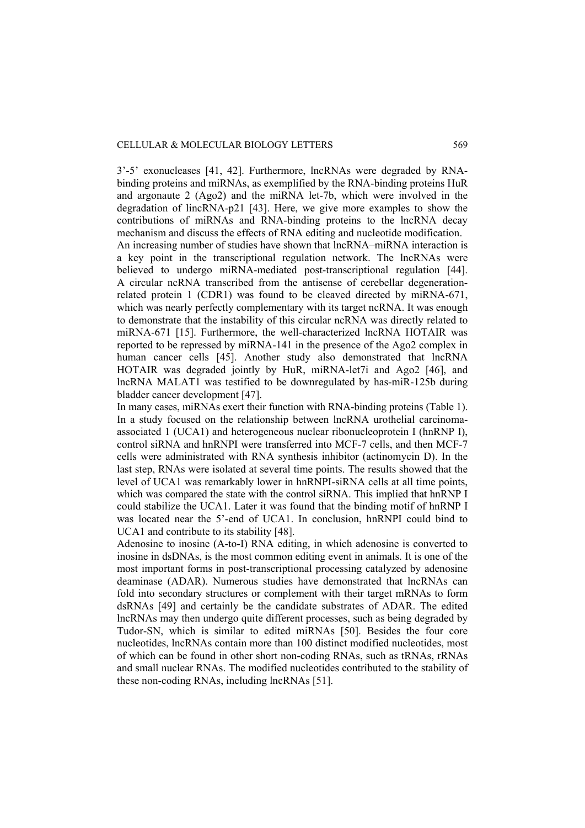3'-5' exonucleases [41, 42]. Furthermore, lncRNAs were degraded by RNAbinding proteins and miRNAs, as exemplified by the RNA-binding proteins HuR and argonaute 2 (Ago2) and the miRNA let-7b, which were involved in the degradation of lincRNA-p21 [43]. Here, we give more examples to show the contributions of miRNAs and RNA-binding proteins to the lncRNA decay mechanism and discuss the effects of RNA editing and nucleotide modification.

An increasing number of studies have shown that lncRNA–miRNA interaction is a key point in the transcriptional regulation network. The lncRNAs were believed to undergo miRNA-mediated post-transcriptional regulation [44]. A circular ncRNA transcribed from the antisense of cerebellar degenerationrelated protein 1 (CDR1) was found to be cleaved directed by miRNA-671, which was nearly perfectly complementary with its target ncRNA. It was enough to demonstrate that the instability of this circular ncRNA was directly related to miRNA-671 [15]. Furthermore, the well-characterized lncRNA HOTAIR was reported to be repressed by miRNA-141 in the presence of the Ago2 complex in human cancer cells [45]. Another study also demonstrated that lncRNA HOTAIR was degraded jointly by HuR, miRNA-let7i and Ago2 [46], and lncRNA MALAT1 was testified to be downregulated by has-miR-125b during bladder cancer development [47].

In many cases, miRNAs exert their function with RNA-binding proteins (Table 1). In a study focused on the relationship between lncRNA urothelial carcinomaassociated 1 (UCA1) and heterogeneous nuclear ribonucleoprotein I (hnRNP I), control siRNA and hnRNPI were transferred into MCF-7 cells, and then MCF-7 cells were administrated with RNA synthesis inhibitor (actinomycin D). In the last step, RNAs were isolated at several time points. The results showed that the level of UCA1 was remarkably lower in hnRNPI-siRNA cells at all time points, which was compared the state with the control siRNA. This implied that hnRNP I could stabilize the UCA1. Later it was found that the binding motif of hnRNP I was located near the 5'-end of UCA1. In conclusion, hnRNPI could bind to UCA1 and contribute to its stability [48].

Adenosine to inosine (A-to-I) RNA editing, in which adenosine is converted to inosine in dsDNAs, is the most common editing event in animals. It is one of the most important forms in post-transcriptional processing catalyzed by adenosine deaminase (ADAR). Numerous studies have demonstrated that lncRNAs can fold into secondary structures or complement with their target mRNAs to form dsRNAs [49] and certainly be the candidate substrates of ADAR. The edited lncRNAs may then undergo quite different processes, such as being degraded by Tudor-SN, which is similar to edited miRNAs [50]. Besides the four core nucleotides, lncRNAs contain more than 100 distinct modified nucleotides, most of which can be found in other short non-coding RNAs, such as tRNAs, rRNAs and small nuclear RNAs. The modified nucleotides contributed to the stability of these non-coding RNAs, including lncRNAs [51].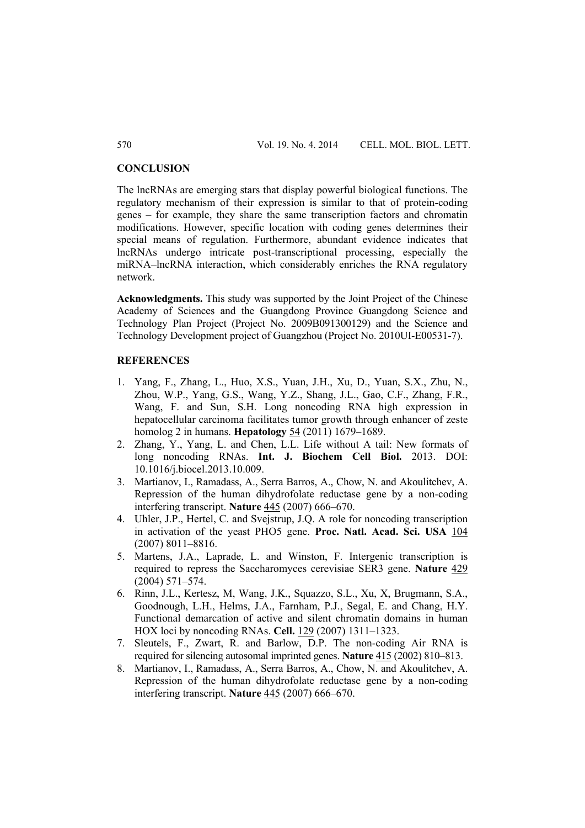### **CONCLUSION**

The lncRNAs are emerging stars that display powerful biological functions. The regulatory mechanism of their expression is similar to that of protein-coding genes – for example, they share the same transcription factors and chromatin modifications. However, specific location with coding genes determines their special means of regulation. Furthermore, abundant evidence indicates that lncRNAs undergo intricate post-transcriptional processing, especially the miRNA–lncRNA interaction, which considerably enriches the RNA regulatory network.

**Acknowledgments.** This study was supported by the Joint Project of the Chinese Academy of Sciences and the Guangdong Province Guangdong Science and Technology Plan Project (Project No. 2009B091300129) and the Science and Technology Development project of Guangzhou (Project No. 2010UI-E00531-7).

### **REFERENCES**

- 1. Yang, F., Zhang, L., Huo, X.S., Yuan, J.H., Xu, D., Yuan, S.X., Zhu, N., Zhou, W.P., Yang, G.S., Wang, Y.Z., Shang, J.L., Gao, C.F., Zhang, F.R., Wang, F. and Sun, S.H. Long noncoding RNA high expression in hepatocellular carcinoma facilitates tumor growth through enhancer of zeste homolog 2 in humans. **Hepatology** 54 (2011) 1679–1689.
- 2. Zhang, Y., Yang, L. and Chen, L.L. Life without A tail: New formats of long noncoding RNAs. **Int. J. Biochem Cell Biol.** 2013. DOI: 10.1016/j.biocel.2013.10.009.
- 3. Martianov, I., Ramadass, A., Serra Barros, A., Chow, N. and Akoulitchev, A. Repression of the human dihydrofolate reductase gene by a non-coding interfering transcript. **Nature** 445 (2007) 666–670.
- 4. Uhler, J.P., Hertel, C. and Svejstrup, J.Q. A role for noncoding transcription in activation of the yeast PHO5 gene. **Proc. Natl. Acad. Sci. USA** 104 (2007) 8011–8816.
- 5. Martens, J.A., Laprade, L. and Winston, F. Intergenic transcription is required to repress the Saccharomyces cerevisiae SER3 gene. **Nature** 429 (2004) 571–574.
- 6. Rinn, J.L., Kertesz, M, Wang, J.K., Squazzo, S.L., Xu, X, Brugmann, S.A., Goodnough, L.H., Helms, J.A., Farnham, P.J., Segal, E. and Chang, H.Y. Functional demarcation of active and silent chromatin domains in human HOX loci by noncoding RNAs. **Cell.** 129 (2007) 1311–1323.
- 7. Sleutels, F., Zwart, R. and Barlow, D.P. The non-coding Air RNA is required for silencing autosomal imprinted genes. **Nature** 415 (2002) 810–813.
- 8. Martianov, I., Ramadass, A., Serra Barros, A., Chow, N. and Akoulitchev, A. Repression of the human dihydrofolate reductase gene by a non-coding interfering transcript. **Nature** 445 (2007) 666–670.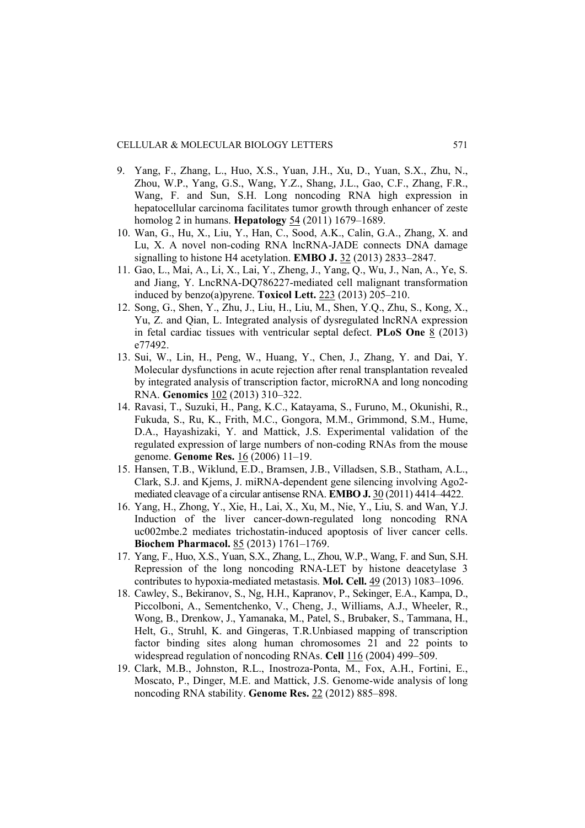- 9. Yang, F., Zhang, L., Huo, X.S., Yuan, J.H., Xu, D., Yuan, S.X., Zhu, N., Zhou, W.P., Yang, G.S., Wang, Y.Z., Shang, J.L., Gao, C.F., Zhang, F.R., Wang, F. and Sun, S.H. Long noncoding RNA high expression in hepatocellular carcinoma facilitates tumor growth through enhancer of zeste homolog 2 in humans. **Hepatology** 54 (2011) 1679–1689.
- 10. Wan, G., Hu, X., Liu, Y., Han, C., Sood, A.K., Calin, G.A., Zhang, X. and Lu, X. A novel non-coding RNA lncRNA-JADE connects DNA damage signalling to histone H4 acetylation. **EMBO J.** 32 (2013) 2833–2847.
- 11. Gao, L., Mai, A., Li, X., Lai, Y., Zheng, J., Yang, Q., Wu, J., Nan, A., Ye, S. and Jiang, Y. LncRNA-DQ786227-mediated cell malignant transformation induced by benzo(a)pyrene. **Toxicol Lett.** 223 (2013) 205–210.
- 12. Song, G., Shen, Y., Zhu, J., Liu, H., Liu, M., Shen, Y.Q., Zhu, S., Kong, X., Yu, Z. and Qian, L. Integrated analysis of dysregulated lncRNA expression in fetal cardiac tissues with ventricular septal defect. **PLoS One** 8 (2013) e77492.
- 13. Sui, W., Lin, H., Peng, W., Huang, Y., Chen, J., Zhang, Y. and Dai, Y. Molecular dysfunctions in acute rejection after renal transplantation revealed by integrated analysis of transcription factor, microRNA and long noncoding RNA. **Genomics** 102 (2013) 310–322.
- 14. Ravasi, T., Suzuki, H., Pang, K.C., Katayama, S., Furuno, M., Okunishi, R., Fukuda, S., Ru, K., Frith, M.C., Gongora, M.M., Grimmond, S.M., Hume, D.A., Hayashizaki, Y. and Mattick, J.S. Experimental validation of the regulated expression of large numbers of non-coding RNAs from the mouse genome. **Genome Res.** 16 (2006) 11–19.
- 15. Hansen, T.B., Wiklund, E.D., Bramsen, J.B., Villadsen, S.B., Statham, A.L., Clark, S.J. and Kjems, J. miRNA-dependent gene silencing involving Ago2 mediated cleavage of a circular antisense RNA. **EMBO J.** 30 (2011) 4414–4422.
- 16. Yang, H., Zhong, Y., Xie, H., Lai, X., Xu, M., Nie, Y., Liu, S. and Wan, Y.J. Induction of the liver cancer-down-regulated long noncoding RNA uc002mbe.2 mediates trichostatin-induced apoptosis of liver cancer cells. **Biochem Pharmacol.** 85 (2013) 1761–1769.
- 17. Yang, F., Huo, X.S., Yuan, S.X., Zhang, L., Zhou, W.P., Wang, F. and Sun, S.H. Repression of the long noncoding RNA-LET by histone deacetylase 3 contributes to hypoxia-mediated metastasis. **Mol. Cell.** 49 (2013) 1083–1096.
- 18. Cawley, S., Bekiranov, S., Ng, H.H., Kapranov, P., Sekinger, E.A., Kampa, D., Piccolboni, A., Sementchenko, V., Cheng, J., Williams, A.J., Wheeler, R., Wong, B., Drenkow, J., Yamanaka, M., Patel, S., Brubaker, S., Tammana, H., Helt, G., Struhl, K. and Gingeras, T.R.Unbiased mapping of transcription factor binding sites along human chromosomes 21 and 22 points to widespread regulation of noncoding RNAs. **Cell** 116 (2004) 499–509.
- 19. Clark, M.B., Johnston, R.L., Inostroza-Ponta, M., Fox, A.H., Fortini, E., Moscato, P., Dinger, M.E. and Mattick, J.S. Genome-wide analysis of long noncoding RNA stability. **Genome Res.** 22 (2012) 885–898.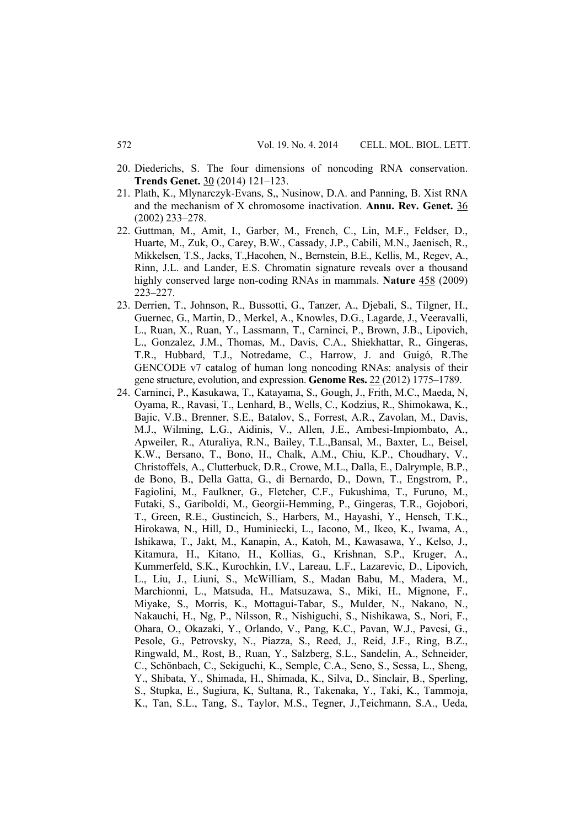- 20. Diederichs, S. The four dimensions of noncoding RNA conservation. **Trends Genet.** 30 (2014) 121–123.
- 21. Plath, K., Mlynarczyk-Evans, S,, Nusinow, D.A. and Panning, B. Xist RNA and the mechanism of X chromosome inactivation. **Annu. Rev. Genet.** 36 (2002) 233–278.
- 22. Guttman, M., Amit, I., Garber, M., French, C., Lin, M.F., Feldser, D., Huarte, M., Zuk, O., Carey, B.W., Cassady, J.P., Cabili, M.N., Jaenisch, R., Mikkelsen, T.S., Jacks, T.,Hacohen, N., Bernstein, B.E., Kellis, M., Regev, A., Rinn, J.L. and Lander, E.S. Chromatin signature reveals over a thousand highly conserved large non-coding RNAs in mammals. **Nature** 458 (2009) 223–227.
- 23. Derrien, T., Johnson, R., Bussotti, G., Tanzer, A., Djebali, S., Tilgner, H., Guernec, G., Martin, D., Merkel, A., Knowles, D.G., Lagarde, J., Veeravalli, L., Ruan, X., Ruan, Y., Lassmann, T., Carninci, P., Brown, J.B., Lipovich, L., Gonzalez, J.M., Thomas, M., Davis, C.A., Shiekhattar, R., Gingeras, T.R., Hubbard, T.J., Notredame, C., Harrow, J. and Guigó, R.The GENCODE v7 catalog of human long noncoding RNAs: analysis of their gene structure, evolution, and expression. **Genome Res.** 22 (2012) 1775–1789.
- 24. Carninci, P., Kasukawa, T., Katayama, S., Gough, J., Frith, M.C., Maeda, N, Oyama, R., Ravasi, T., Lenhard, B., Wells, C., Kodzius, R., Shimokawa, K., Bajic, V.B., Brenner, S.E., Batalov, S., Forrest, A.R., Zavolan, M., Davis, M.J., Wilming, L.G., Aidinis, V., Allen, J.E., Ambesi-Impiombato, A., Apweiler, R., Aturaliya, R.N., Bailey, T.L.,Bansal, M., Baxter, L., Beisel, K.W., Bersano, T., Bono, H., Chalk, A.M., Chiu, K.P., Choudhary, V., Christoffels, A., Clutterbuck, D.R., Crowe, M.L., Dalla, E., Dalrymple, B.P., de Bono, B., Della Gatta, G., di Bernardo, D., Down, T., Engstrom, P., Fagiolini, M., Faulkner, G., Fletcher, C.F., Fukushima, T., Furuno, M., Futaki, S., Gariboldi, M., Georgii-Hemming, P., Gingeras, T.R., Gojobori, T., Green, R.E., Gustincich, S., Harbers, M., Hayashi, Y., Hensch, T.K., Hirokawa, N., Hill, D., Huminiecki, L., Iacono, M., Ikeo, K., Iwama, A., Ishikawa, T., Jakt, M., Kanapin, A., Katoh, M., Kawasawa, Y., Kelso, J., Kitamura, H., Kitano, H., Kollias, G., Krishnan, S.P., Kruger, A., Kummerfeld, S.K., Kurochkin, I.V., Lareau, L.F., Lazarevic, D., Lipovich, L., Liu, J., Liuni, S., McWilliam, S., Madan Babu, M., Madera, M., Marchionni, L., Matsuda, H., Matsuzawa, S., Miki, H., Mignone, F., Miyake, S., Morris, K., Mottagui-Tabar, S., Mulder, N., Nakano, N., Nakauchi, H., Ng, P., Nilsson, R., Nishiguchi, S., Nishikawa, S., Nori, F., Ohara, O., Okazaki, Y., Orlando, V., Pang, K.C., Pavan, W.J., Pavesi, G., Pesole, G., Petrovsky, N., Piazza, S., Reed, J., Reid, J.F., Ring, B.Z., Ringwald, M., Rost, B., Ruan, Y., Salzberg, S.L., Sandelin, A., Schneider, C., Schönbach, C., Sekiguchi, K., Semple, C.A., Seno, S., Sessa, L., Sheng, Y., Shibata, Y., Shimada, H., Shimada, K., Silva, D., Sinclair, B., Sperling, S., Stupka, E., Sugiura, K, Sultana, R., Takenaka, Y., Taki, K., Tammoja, K., Tan, S.L., Tang, S., Taylor, M.S., Tegner, J.,Teichmann, S.A., Ueda,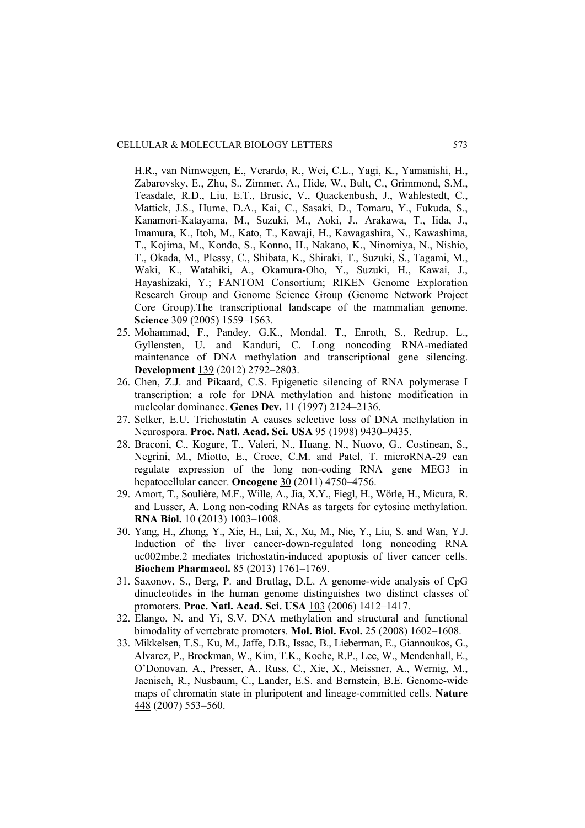H.R., van Nimwegen, E., Verardo, R., Wei, C.L., Yagi, K., Yamanishi, H., Zabarovsky, E., Zhu, S., Zimmer, A., Hide, W., Bult, C., Grimmond, S.M., Teasdale, R.D., Liu, E.T., Brusic, V., Quackenbush, J., Wahlestedt, C., Mattick, J.S., Hume, D.A., Kai, C., Sasaki, D., Tomaru, Y., Fukuda, S., Kanamori-Katayama, M., Suzuki, M., Aoki, J., Arakawa, T., Iida, J., Imamura, K., Itoh, M., Kato, T., Kawaji, H., Kawagashira, N., Kawashima, T., Kojima, M., Kondo, S., Konno, H., Nakano, K., Ninomiya, N., Nishio, T., Okada, M., Plessy, C., Shibata, K., Shiraki, T., Suzuki, S., Tagami, M., Waki, K., Watahiki, A., Okamura-Oho, Y., Suzuki, H., Kawai, J., Hayashizaki, Y.; FANTOM Consortium; RIKEN Genome Exploration Research Group and Genome Science Group (Genome Network Project Core Group).The transcriptional landscape of the mammalian genome. **Science** 309 (2005) 1559–1563.

- 25. Mohammad, F., Pandey, G.K., Mondal. T., Enroth, S., Redrup, L., Gyllensten, U. and Kanduri, C. Long noncoding RNA-mediated maintenance of DNA methylation and transcriptional gene silencing. **Development** 139 (2012) 2792–2803.
- 26. Chen, Z.J. and Pikaard, C.S. Epigenetic silencing of RNA polymerase I transcription: a role for DNA methylation and histone modification in nucleolar dominance. **Genes Dev.** 11 (1997) 2124–2136.
- 27. Selker, E.U. Trichostatin A causes selective loss of DNA methylation in Neurospora. **Proc. Natl. Acad. Sci. USA** 95 (1998) 9430–9435.
- 28. Braconi, C., Kogure, T., Valeri, N., Huang, N., Nuovo, G., Costinean, S., Negrini, M., Miotto, E., Croce, C.M. and Patel, T. microRNA-29 can regulate expression of the long non-coding RNA gene MEG3 in hepatocellular cancer. **Oncogene** 30 (2011) 4750–4756.
- 29. Amort, T., Soulière, M.F., Wille, A., Jia, X.Y., Fiegl, H., Wörle, H., Micura, R. and Lusser, A. Long non-coding RNAs as targets for cytosine methylation. **RNA Biol.** 10 (2013) 1003–1008.
- 30. Yang, H., Zhong, Y., Xie, H., Lai, X., Xu, M., Nie, Y., Liu, S. and Wan, Y.J. Induction of the liver cancer-down-regulated long noncoding RNA uc002mbe.2 mediates trichostatin-induced apoptosis of liver cancer cells. **Biochem Pharmacol.** 85 (2013) 1761–1769.
- 31. Saxonov, S., Berg, P. and Brutlag, D.L. A genome-wide analysis of CpG dinucleotides in the human genome distinguishes two distinct classes of promoters. **Proc. Natl. Acad. Sci. USA** 103 (2006) 1412–1417.
- 32. Elango, N. and Yi, S.V. DNA methylation and structural and functional bimodality of vertebrate promoters. **Mol. Biol. Evol.** 25 (2008) 1602–1608.
- 33. Mikkelsen, T.S., Ku, M., Jaffe, D.B., Issac, B., Lieberman, E., Giannoukos, G., Alvarez, P., Brockman, W., Kim, T.K., Koche, R.P., Lee, W., Mendenhall, E., O'Donovan, A., Presser, A., Russ, C., Xie, X., Meissner, A., Wernig, M., Jaenisch, R., Nusbaum, C., Lander, E.S. and Bernstein, B.E. Genome-wide maps of chromatin state in pluripotent and lineage-committed cells. **Nature** 448 (2007) 553–560.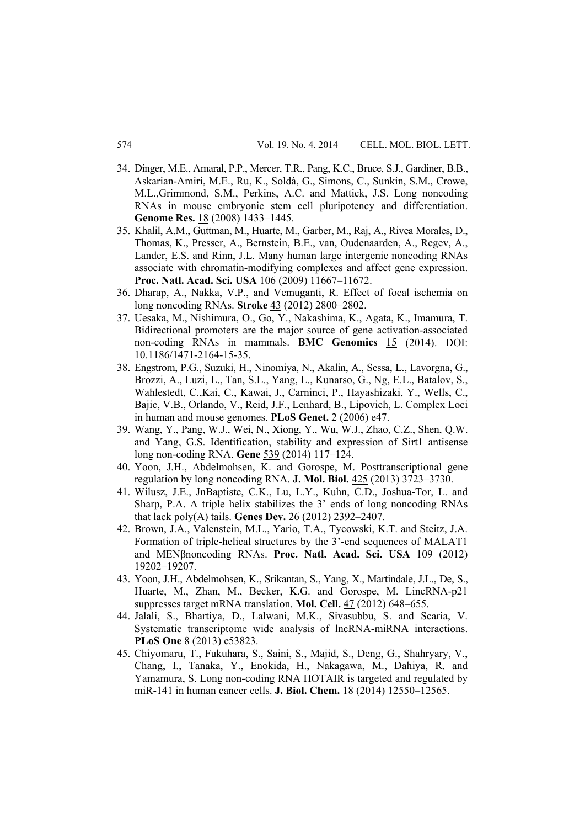- 34. Dinger, M.E., Amaral, P.P., Mercer, T.R., Pang, K.C., Bruce, S.J., Gardiner, B.B., Askarian-Amiri, M.E., Ru, K., Soldà, G., Simons, C., Sunkin, S.M., Crowe, M.L.,Grimmond, S.M., Perkins, A.C. and Mattick, J.S. Long noncoding RNAs in mouse embryonic stem cell pluripotency and differentiation. **Genome Res.** 18 (2008) 1433–1445.
- 35. Khalil, A.M., Guttman, M., Huarte, M., Garber, M., Raj, A., Rivea Morales, D., Thomas, K., Presser, A., Bernstein, B.E., van, Oudenaarden, A., Regev, A., Lander, E.S. and Rinn, J.L. Many human large intergenic noncoding RNAs associate with chromatin-modifying complexes and affect gene expression. **Proc. Natl. Acad. Sci. USA** 106 (2009) 11667–11672.
- 36. Dharap, A., Nakka, V.P., and Vemuganti, R. Effect of focal ischemia on long noncoding RNAs. **Stroke** 43 (2012) 2800–2802.
- 37. Uesaka, M., Nishimura, O., Go, Y., Nakashima, K., Agata, K., Imamura, T. Bidirectional promoters are the major source of gene activation-associated non-coding RNAs in mammals. **BMC Genomics** 15 (2014). DOI: 10.1186/1471-2164-15-35.
- 38. Engstrom, P.G., Suzuki, H., Ninomiya, N., Akalin, A., Sessa, L., Lavorgna, G., Brozzi, A., Luzi, L., Tan, S.L., Yang, L., Kunarso, G., Ng, E.L., Batalov, S., Wahlestedt, C.,Kai, C., Kawai, J., Carninci, P., Hayashizaki, Y., Wells, C., Bajic, V.B., Orlando, V., Reid, J.F., Lenhard, B., Lipovich, L. Complex Loci in human and mouse genomes. **PLoS Genet.** 2 (2006) e47.
- 39. Wang, Y., Pang, W.J., Wei, N., Xiong, Y., Wu, W.J., Zhao, C.Z., Shen, Q.W. and Yang, G.S. Identification, stability and expression of Sirt1 antisense long non-coding RNA. **Gene** 539 (2014) 117–124.
- 40. Yoon, J.H., Abdelmohsen, K. and Gorospe, M. Posttranscriptional gene regulation by long noncoding RNA. **J. Mol. Biol.** 425 (2013) 3723–3730.
- 41. Wilusz, J.E., JnBaptiste, C.K., Lu, L.Y., Kuhn, C.D., Joshua-Tor, L. and Sharp, P.A. A triple helix stabilizes the 3' ends of long noncoding RNAs that lack poly(A) tails. **Genes Dev.** 26 (2012) 2392–2407.
- 42. Brown, J.A., Valenstein, M.L., Yario, T.A., Tycowski, K.T. and Steitz, J.A. Formation of triple-helical structures by the 3'-end sequences of MALAT1 and MENβnoncoding RNAs. **Proc. Natl. Acad. Sci. USA** 109 (2012) 19202–19207.
- 43. Yoon, J.H., Abdelmohsen, K., Srikantan, S., Yang, X., Martindale, J.L., De, S., Huarte, M., Zhan, M., Becker, K.G. and Gorospe, M. LincRNA-p21 suppresses target mRNA translation. **Mol. Cell.** 47 (2012) 648–655.
- 44. Jalali, S., Bhartiya, D., Lalwani, M.K., Sivasubbu, S. and Scaria, V. Systematic transcriptome wide analysis of lncRNA-miRNA interactions. **PLoS One** 8 (2013) e53823.
- 45. Chiyomaru, T., Fukuhara, S., Saini, S., Majid, S., Deng, G., Shahryary, V., Chang, I., Tanaka, Y., Enokida, H., Nakagawa, M., Dahiya, R. and Yamamura, S. Long non-coding RNA HOTAIR is targeted and regulated by miR-141 in human cancer cells. **J. Biol. Chem.** 18 (2014) 12550–12565.